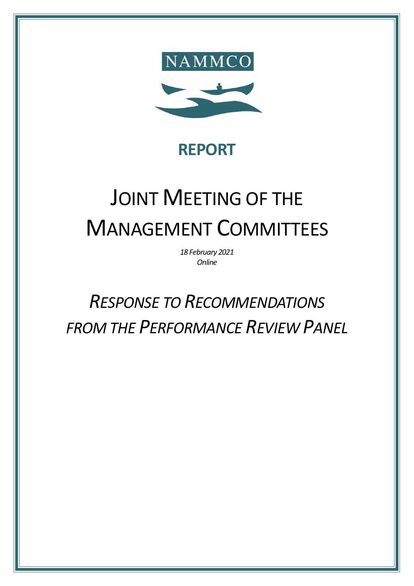

# **REPORT**

# JOINT MEETING OF THE MANAGEMENT COMMITTEES

*18 February 2021 Online*

# *RESPONSE TO RECOMMENDATIONS FROM THE PERFORMANCE REVIEW PANEL*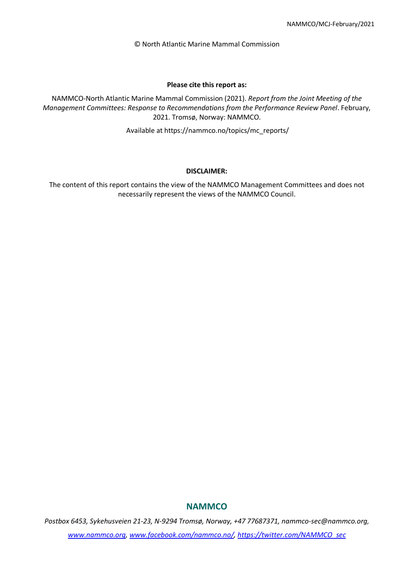© North Atlantic Marine Mammal Commission

#### **Please cite this report as:**

NAMMCO-North Atlantic Marine Mammal Commission (2021). *Report from the Joint Meeting of the Management Committees: Response to Recommendations from the Performance Review Panel*. February, 2021. Tromsø, Norway: NAMMCO.

Available at https://nammco.no/topics/mc\_reports/

#### **DISCLAIMER:**

The content of this report contains the view of the NAMMCO Management Committees and does not necessarily represent the views of the NAMMCO Council.

## **NAMMCO**

*Postbox 6453, Sykehusveien 21-23, N-9294 Tromsø, Norway, +47 77687371, nammco-sec@nammco.org, www.nammco.org, [www.facebook.com/nammco.no/,](http://www.facebook.com/nammco.no/) [https://twitter.com/NAMMCO\\_sec](https://twitter.com/NAMMCO_sec)*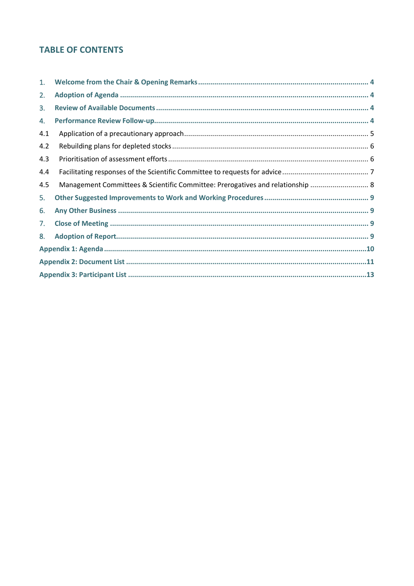## **TABLE OF CONTENTS**

| 1.  |                                                                                |  |  |
|-----|--------------------------------------------------------------------------------|--|--|
| 2.  |                                                                                |  |  |
| 3.  |                                                                                |  |  |
| 4.  |                                                                                |  |  |
| 4.1 |                                                                                |  |  |
| 4.2 |                                                                                |  |  |
| 4.3 |                                                                                |  |  |
| 4.4 |                                                                                |  |  |
| 4.5 | Management Committees & Scientific Committee: Prerogatives and relationship  8 |  |  |
| 5.  |                                                                                |  |  |
| 6.  |                                                                                |  |  |
| 7.  |                                                                                |  |  |
| 8.  |                                                                                |  |  |
|     |                                                                                |  |  |
|     |                                                                                |  |  |
|     |                                                                                |  |  |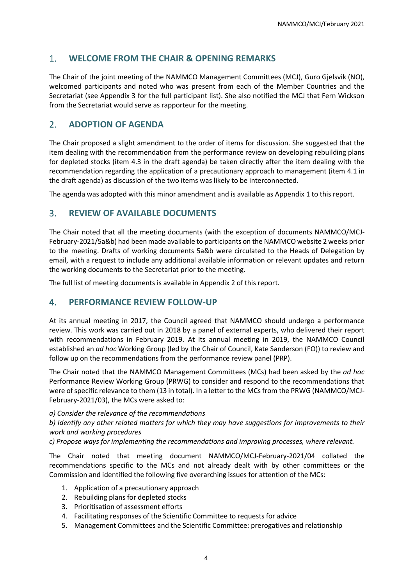## <span id="page-3-0"></span>1. **WELCOME FROM THE CHAIR & OPENING REMARKS**

The Chair of the joint meeting of the NAMMCO Management Committees (MCJ), Guro Gjelsvik (NO), welcomed participants and noted who was present from each of the Member Countries and the Secretariat (see [Appendix 3](#page-12-0) for the full participant list). She also notified the MCJ that Fern Wickson from the Secretariat would serve as rapporteur for the meeting.

## <span id="page-3-1"></span>2. **ADOPTION OF AGENDA**

The Chair proposed a slight amendment to the order of items for discussion. She suggested that the item dealing with the recommendation from the performance review on developing rebuilding plans for depleted stocks (item 4.3 in the draft agenda) be taken directly after the item dealing with the recommendation regarding the application of a precautionary approach to management (item 4.1 in the draft agenda) as discussion of the two items was likely to be interconnected.

The agenda was adopted with this minor amendment and is available a[s Appendix 1](#page-9-0) to this report.

## <span id="page-3-2"></span>3. **REVIEW OF AVAILABLE DOCUMENTS**

The Chair noted that all the meeting documents (with the exception of documents NAMMCO/MCJ-February-2021/5a&b) had been made available to participants on the NAMMCO website 2 weeks prior to the meeting. Drafts of working documents 5a&b were circulated to the Heads of Delegation by email, with a request to include any additional available information or relevant updates and return the working documents to the Secretariat prior to the meeting.

The full list of meeting documents is available in [Appendix 2](#page-10-0) of this report.

## <span id="page-3-3"></span>4. **PERFORMANCE REVIEW FOLLOW-UP**

At its annual meeting in 2017, the Council agreed that NAMMCO should undergo a performance review. This work was carried out in 2018 by a panel of external experts, who delivered their report with recommendations in February 2019. At its annual meeting in 2019, the NAMMCO Council established an *ad hoc* Working Group (led by the Chair of Council, Kate Sanderson (FO)) to review and follow up on the recommendations from the performance review panel (PRP).

The Chair noted that the NAMMCO Management Committees (MCs) had been asked by the *ad hoc*  Performance Review Working Group (PRWG) to consider and respond to the recommendations that were of specific relevance to them (13 in total). In a letter to the MCs from the PRWG (NAMMCO/MCJ-February-2021/03), the MCs were asked to:

*a) Consider the relevance of the recommendations*

*b) Identify any other related matters for which they may have suggestions for improvements to their work and working procedures*

*c) Propose ways for implementing the recommendations and improving processes, where relevant.*

The Chair noted that meeting document NAMMCO/MCJ-February-2021/04 collated the recommendations specific to the MCs and not already dealt with by other committees or the Commission and identified the following five overarching issues for attention of the MCs:

- 1. Application of a precautionary approach
- 2. Rebuilding plans for depleted stocks
- 3. Prioritisation of assessment efforts
- 4. Facilitating responses of the Scientific Committee to requests for advice
- 5. Management Committees and the Scientific Committee: prerogatives and relationship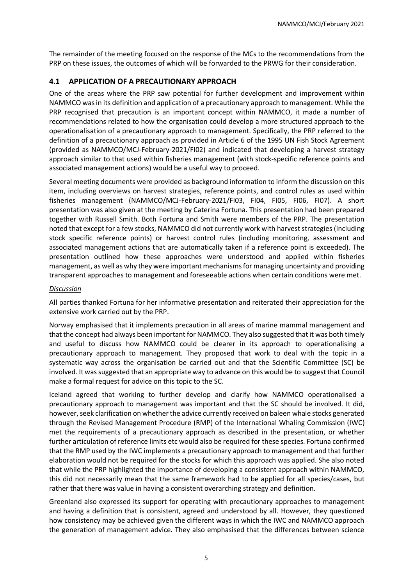The remainder of the meeting focused on the response of the MCs to the recommendations from the PRP on these issues, the outcomes of which will be forwarded to the PRWG for their consideration.

## <span id="page-4-0"></span>**4.1 APPLICATION OF A PRECAUTIONARY APPROACH**

One of the areas where the PRP saw potential for further development and improvement within NAMMCO was in its definition and application of a precautionary approach to management. While the PRP recognised that precaution is an important concept within NAMMCO, it made a number of recommendations related to how the organisation could develop a more structured approach to the operationalisation of a precautionary approach to management. Specifically, the PRP referred to the definition of a precautionary approach as provided in Article 6 of the 1995 UN Fish Stock Agreement (provided as NAMMCO/MCJ-February-2021/FI02) and indicated that developing a harvest strategy approach similar to that used within fisheries management (with stock-specific reference points and associated management actions) would be a useful way to proceed.

Several meeting documents were provided as background information to inform the discussion on this item, including overviews on harvest strategies, reference points, and control rules as used within fisheries management (NAMMCO/MCJ-February-2021/FI03, FI04, FI05, FI06, FI07). A short presentation was also given at the meeting by Caterina Fortuna. This presentation had been prepared together with Russell Smith. Both Fortuna and Smith were members of the PRP. The presentation noted that except for a few stocks, NAMMCO did not currently work with harvest strategies (including stock specific reference points) or harvest control rules (including monitoring, assessment and associated management actions that are automatically taken if a reference point is exceeded). The presentation outlined how these approaches were understood and applied within fisheries management, as well as why they were important mechanisms for managing uncertainty and providing transparent approaches to management and foreseeable actions when certain conditions were met.

#### *Discussion*

All parties thanked Fortuna for her informative presentation and reiterated their appreciation for the extensive work carried out by the PRP.

Norway emphasised that it implements precaution in all areas of marine mammal management and that the concept had always been important for NAMMCO. They also suggested that it was both timely and useful to discuss how NAMMCO could be clearer in its approach to operationalising a precautionary approach to management. They proposed that work to deal with the topic in a systematic way across the organisation be carried out and that the Scientific Committee (SC) be involved. It was suggested that an appropriate way to advance on this would be to suggest that Council make a formal request for advice on this topic to the SC.

Iceland agreed that working to further develop and clarify how NAMMCO operationalised a precautionary approach to management was important and that the SC should be involved. It did, however, seek clarification on whether the advice currently received on baleen whale stocks generated through the Revised Management Procedure (RMP) of the International Whaling Commission (IWC) met the requirements of a precautionary approach as described in the presentation, or whether further articulation of reference limits etc would also be required for these species. Fortuna confirmed that the RMP used by the IWC implements a precautionary approach to management and that further elaboration would not be required for the stocks for which this approach was applied. She also noted that while the PRP highlighted the importance of developing a consistent approach within NAMMCO, this did not necessarily mean that the same framework had to be applied for all species/cases, but rather that there was value in having a consistent overarching strategy and definition.

Greenland also expressed its support for operating with precautionary approaches to management and having a definition that is consistent, agreed and understood by all. However, they questioned how consistency may be achieved given the different ways in which the IWC and NAMMCO approach the generation of management advice. They also emphasised that the differences between science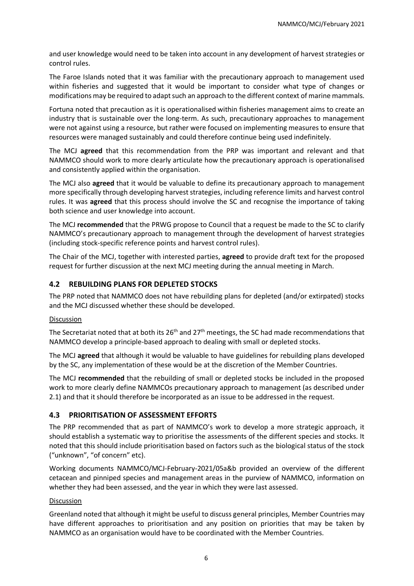and user knowledge would need to be taken into account in any development of harvest strategies or control rules.

The Faroe Islands noted that it was familiar with the precautionary approach to management used within fisheries and suggested that it would be important to consider what type of changes or modifications may be required to adapt such an approach to the different context of marine mammals.

Fortuna noted that precaution as it is operationalised within fisheries management aims to create an industry that is sustainable over the long-term. As such, precautionary approaches to management were not against using a resource, but rather were focused on implementing measures to ensure that resources were managed sustainably and could therefore continue being used indefinitely.

The MCJ **agreed** that this recommendation from the PRP was important and relevant and that NAMMCO should work to more clearly articulate how the precautionary approach is operationalised and consistently applied within the organisation.

The MCJ also **agreed** that it would be valuable to define its precautionary approach to management more specifically through developing harvest strategies, including reference limits and harvest control rules. It was **agreed** that this process should involve the SC and recognise the importance of taking both science and user knowledge into account.

The MCJ **recommended** that the PRWG propose to Council that a request be made to the SC to clarify NAMMCO's precautionary approach to management through the development of harvest strategies (including stock-specific reference points and harvest control rules).

The Chair of the MCJ, together with interested parties, **agreed** to provide draft text for the proposed request for further discussion at the next MCJ meeting during the annual meeting in March.

## <span id="page-5-0"></span>**4.2 REBUILDING PLANS FOR DEPLETED STOCKS**

The PRP noted that NAMMCO does not have rebuilding plans for depleted (and/or extirpated) stocks and the MCJ discussed whether these should be developed.

#### Discussion

The Secretariat noted that at both its 26<sup>th</sup> and 27<sup>th</sup> meetings, the SC had made recommendations that NAMMCO develop a principle-based approach to dealing with small or depleted stocks.

The MCJ **agreed** that although it would be valuable to have guidelines for rebuilding plans developed by the SC, any implementation of these would be at the discretion of the Member Countries.

The MCJ **recommended** that the rebuilding of small or depleted stocks be included in the proposed work to more clearly define NAMMCOs precautionary approach to management (as described under 2.1) and that it should therefore be incorporated as an issue to be addressed in the request.

## <span id="page-5-1"></span>**4.3 PRIORITISATION OF ASSESSMENT EFFORTS**

The PRP recommended that as part of NAMMCO's work to develop a more strategic approach, it should establish a systematic way to prioritise the assessments of the different species and stocks. It noted that this should include prioritisation based on factors such as the biological status of the stock ("unknown", "of concern" etc).

Working documents NAMMCO/MCJ-February-2021/05a&b provided an overview of the different cetacean and pinniped species and management areas in the purview of NAMMCO, information on whether they had been assessed, and the year in which they were last assessed.

#### Discussion

Greenland noted that although it might be useful to discuss general principles, Member Countries may have different approaches to prioritisation and any position on priorities that may be taken by NAMMCO as an organisation would have to be coordinated with the Member Countries.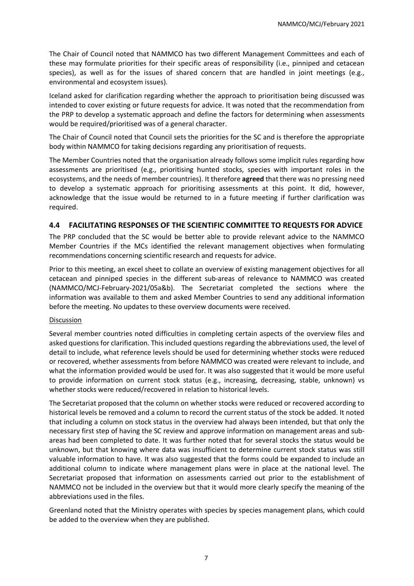The Chair of Council noted that NAMMCO has two different Management Committees and each of these may formulate priorities for their specific areas of responsibility (i.e., pinniped and cetacean species), as well as for the issues of shared concern that are handled in joint meetings (e.g., environmental and ecosystem issues).

Iceland asked for clarification regarding whether the approach to prioritisation being discussed was intended to cover existing or future requests for advice. It was noted that the recommendation from the PRP to develop a systematic approach and define the factors for determining when assessments would be required/prioritised was of a general character.

The Chair of Council noted that Council sets the priorities for the SC and is therefore the appropriate body within NAMMCO for taking decisions regarding any prioritisation of requests.

The Member Countries noted that the organisation already follows some implicit rules regarding how assessments are prioritised (e.g., prioritising hunted stocks, species with important roles in the ecosystems, and the needs of member countries). It therefore **agreed** that there was no pressing need to develop a systematic approach for prioritising assessments at this point. It did, however, acknowledge that the issue would be returned to in a future meeting if further clarification was required.

## <span id="page-6-0"></span>**4.4 FACILITATING RESPONSES OF THE SCIENTIFIC COMMITTEE TO REQUESTS FOR ADVICE**

The PRP concluded that the SC would be better able to provide relevant advice to the NAMMCO Member Countries if the MCs identified the relevant management objectives when formulating recommendations concerning scientific research and requests for advice.

Prior to this meeting, an excel sheet to collate an overview of existing management objectives for all cetacean and pinniped species in the different sub-areas of relevance to NAMMCO was created (NAMMCO/MCJ-February-2021/05a&b). The Secretariat completed the sections where the information was available to them and asked Member Countries to send any additional information before the meeting. No updates to these overview documents were received.

#### **Discussion**

Several member countries noted difficulties in completing certain aspects of the overview files and asked questions for clarification. This included questions regarding the abbreviations used, the level of detail to include, what reference levels should be used for determining whether stocks were reduced or recovered, whether assessments from before NAMMCO was created were relevant to include, and what the information provided would be used for. It was also suggested that it would be more useful to provide information on current stock status (e.g., increasing, decreasing, stable, unknown) vs whether stocks were reduced/recovered in relation to historical levels.

The Secretariat proposed that the column on whether stocks were reduced or recovered according to historical levels be removed and a column to record the current status of the stock be added. It noted that including a column on stock status in the overview had always been intended, but that only the necessary first step of having the SC review and approve information on management areas and subareas had been completed to date. It was further noted that for several stocks the status would be unknown, but that knowing where data was insufficient to determine current stock status was still valuable information to have. It was also suggested that the forms could be expanded to include an additional column to indicate where management plans were in place at the national level. The Secretariat proposed that information on assessments carried out prior to the establishment of NAMMCO not be included in the overview but that it would more clearly specify the meaning of the abbreviations used in the files.

Greenland noted that the Ministry operates with species by species management plans, which could be added to the overview when they are published.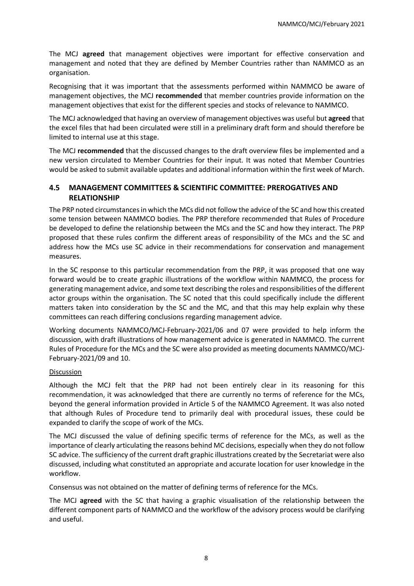The MCJ **agreed** that management objectives were important for effective conservation and management and noted that they are defined by Member Countries rather than NAMMCO as an organisation.

Recognising that it was important that the assessments performed within NAMMCO be aware of management objectives, the MCJ **recommended** that member countries provide information on the management objectives that exist for the different species and stocks of relevance to NAMMCO.

The MCJ acknowledged that having an overview of management objectives was useful but **agreed** that the excel files that had been circulated were still in a preliminary draft form and should therefore be limited to internal use at this stage.

The MCJ **recommended** that the discussed changes to the draft overview files be implemented and a new version circulated to Member Countries for their input. It was noted that Member Countries would be asked to submit available updates and additional information within the first week of March.

## <span id="page-7-0"></span>**4.5 MANAGEMENT COMMITTEES & SCIENTIFIC COMMITTEE: PREROGATIVES AND RELATIONSHIP**

The PRP noted circumstances in which the MCs did not follow the advice of the SC and how this created some tension between NAMMCO bodies. The PRP therefore recommended that Rules of Procedure be developed to define the relationship between the MCs and the SC and how they interact. The PRP proposed that these rules confirm the different areas of responsibility of the MCs and the SC and address how the MCs use SC advice in their recommendations for conservation and management measures.

In the SC response to this particular recommendation from the PRP, it was proposed that one way forward would be to create graphic illustrations of the workflow within NAMMCO, the process for generating management advice, and some text describing the roles and responsibilities of the different actor groups within the organisation. The SC noted that this could specifically include the different matters taken into consideration by the SC and the MC, and that this may help explain why these committees can reach differing conclusions regarding management advice.

Working documents NAMMCO/MCJ-February-2021/06 and 07 were provided to help inform the discussion, with draft illustrations of how management advice is generated in NAMMCO. The current Rules of Procedure for the MCs and the SC were also provided as meeting documents NAMMCO/MCJ-February-2021/09 and 10.

## Discussion

Although the MCJ felt that the PRP had not been entirely clear in its reasoning for this recommendation, it was acknowledged that there are currently no terms of reference for the MCs, beyond the general information provided in Article 5 of the NAMMCO Agreement. It was also noted that although Rules of Procedure tend to primarily deal with procedural issues, these could be expanded to clarify the scope of work of the MCs.

The MCJ discussed the value of defining specific terms of reference for the MCs, as well as the importance of clearly articulating the reasons behind MC decisions, especially when they do not follow SC advice. The sufficiency of the current draft graphic illustrations created by the Secretariat were also discussed, including what constituted an appropriate and accurate location for user knowledge in the workflow.

Consensus was not obtained on the matter of defining terms of reference for the MCs.

The MCJ **agreed** with the SC that having a graphic visualisation of the relationship between the different component parts of NAMMCO and the workflow of the advisory process would be clarifying and useful.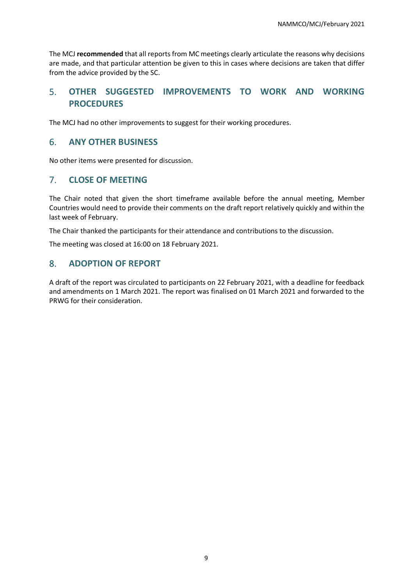The MCJ **recommended** that all reports from MC meetings clearly articulate the reasons why decisions are made, and that particular attention be given to this in cases where decisions are taken that differ from the advice provided by the SC.

## <span id="page-8-0"></span>5. **OTHER SUGGESTED IMPROVEMENTS TO WORK AND WORKING PROCEDURES**

The MCJ had no other improvements to suggest for their working procedures.

## <span id="page-8-1"></span>6. **ANY OTHER BUSINESS**

No other items were presented for discussion.

## <span id="page-8-2"></span>7. **CLOSE OF MEETING**

The Chair noted that given the short timeframe available before the annual meeting, Member Countries would need to provide their comments on the draft report relatively quickly and within the last week of February.

The Chair thanked the participants for their attendance and contributions to the discussion.

The meeting was closed at 16:00 on 18 February 2021.

## <span id="page-8-3"></span>8. **ADOPTION OF REPORT**

A draft of the report was circulated to participants on 22 February 2021, with a deadline for feedback and amendments on 1 March 2021. The report was finalised on 01 March 2021 and forwarded to the PRWG for their consideration.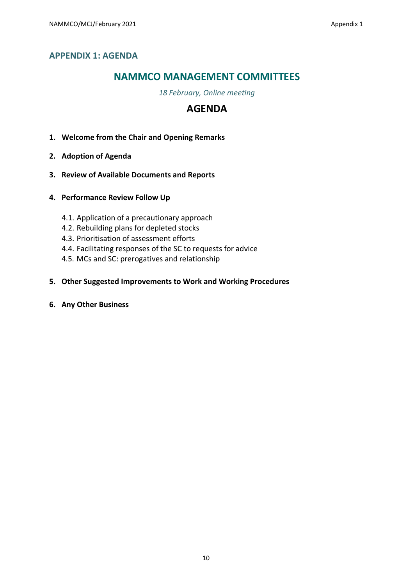## <span id="page-9-0"></span>**NAMMCO MANAGEMENT COMMITTEES**

*18 February, Online meeting*

## **AGENDA**

- **1. Welcome from the Chair and Opening Remarks**
- **2. Adoption of Agenda**
- **3. Review of Available Documents and Reports**
- **4. Performance Review Follow Up**
	- 4.1. Application of a precautionary approach
	- 4.2. Rebuilding plans for depleted stocks
	- 4.3. Prioritisation of assessment efforts
	- 4.4. Facilitating responses of the SC to requests for advice
	- 4.5. MCs and SC: prerogatives and relationship
- **5. Other Suggested Improvements to Work and Working Procedures**
- **6. Any Other Business**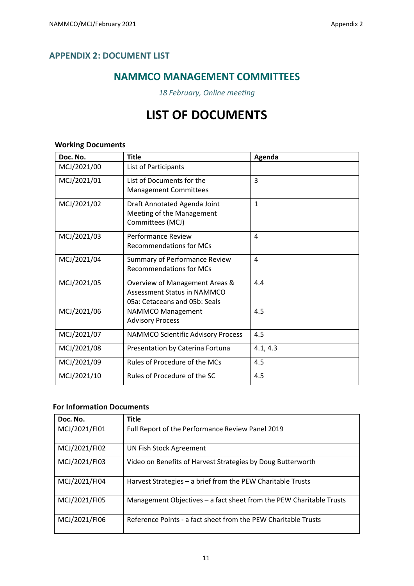## <span id="page-10-0"></span>**APPENDIX 2: DOCUMENT LIST**

## **NAMMCO MANAGEMENT COMMITTEES**

*18 February, Online meeting*

## **LIST OF DOCUMENTS**

## **Working Documents**

| Doc. No.    | <b>Title</b>                                                                                          | Agenda       |
|-------------|-------------------------------------------------------------------------------------------------------|--------------|
| MCJ/2021/00 | List of Participants                                                                                  |              |
| MCJ/2021/01 | List of Documents for the<br><b>Management Committees</b>                                             | 3            |
| MCJ/2021/02 | Draft Annotated Agenda Joint<br>Meeting of the Management<br>Committees (MCJ)                         | $\mathbf{1}$ |
| MCJ/2021/03 | Performance Review<br><b>Recommendations for MCs</b>                                                  | 4            |
| MCJ/2021/04 | Summary of Performance Review<br><b>Recommendations for MCs</b>                                       | 4            |
| MCJ/2021/05 | Overview of Management Areas &<br><b>Assessment Status in NAMMCO</b><br>05a: Cetaceans and 05b: Seals | 4.4          |
| MCJ/2021/06 | <b>NAMMCO Management</b><br><b>Advisory Process</b>                                                   | 4.5          |
| MCJ/2021/07 | <b>NAMMCO Scientific Advisory Process</b>                                                             | 4.5          |
| MCJ/2021/08 | Presentation by Caterina Fortuna                                                                      | 4.1, 4.3     |
| MCJ/2021/09 | Rules of Procedure of the MCs                                                                         | 4.5          |
| MCJ/2021/10 | Rules of Procedure of the SC                                                                          | 4.5          |

## **For Information Documents**

| Doc. No.      | <b>Title</b>                                                        |
|---------------|---------------------------------------------------------------------|
| MCJ/2021/FI01 | Full Report of the Performance Review Panel 2019                    |
| MCJ/2021/FI02 | <b>UN Fish Stock Agreement</b>                                      |
| MCJ/2021/FI03 | Video on Benefits of Harvest Strategies by Doug Butterworth         |
| MCJ/2021/FI04 | Harvest Strategies - a brief from the PEW Charitable Trusts         |
| MCJ/2021/FI05 | Management Objectives - a fact sheet from the PEW Charitable Trusts |
| MCJ/2021/FI06 | Reference Points - a fact sheet from the PEW Charitable Trusts      |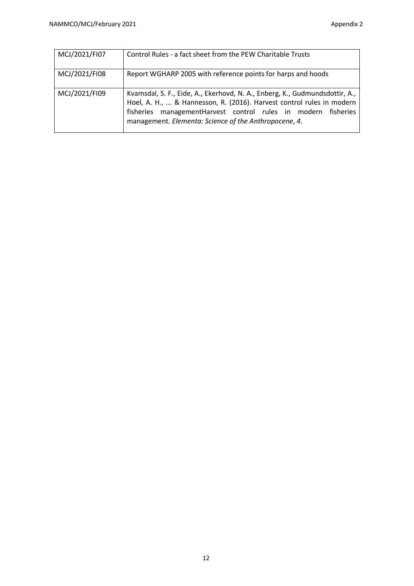| MCJ/2021/FI07 | Control Rules - a fact sheet from the PEW Charitable Trusts                                                                                                                                                                                                                     |
|---------------|---------------------------------------------------------------------------------------------------------------------------------------------------------------------------------------------------------------------------------------------------------------------------------|
| MCJ/2021/FI08 | Report WGHARP 2005 with reference points for harps and hoods                                                                                                                                                                                                                    |
| MCJ/2021/FI09 | Kvamsdal, S. F., Eide, A., Ekerhovd, N. A., Enberg, K., Gudmundsdottir, A.,<br>Hoel, A. H.,  & Hannesson, R. (2016). Harvest control rules in modern<br>fisheries management Harvest control rules in modern fisheries<br>management. Elementa: Science of the Anthropocene, 4. |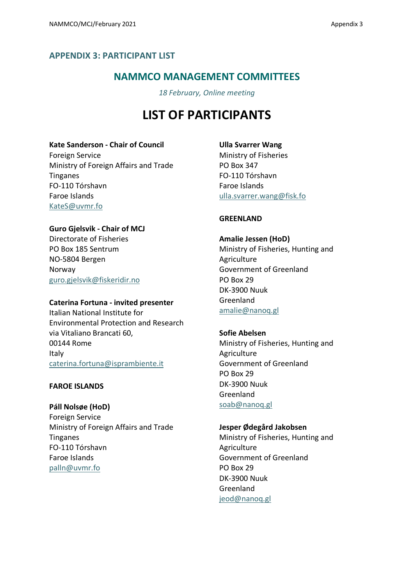## <span id="page-12-0"></span>**APPENDIX 3: PARTICIPANT LIST**

## **NAMMCO MANAGEMENT COMMITTEES**

*18 February, Online meeting*

## **LIST OF PARTICIPANTS**

## **Kate Sanderson - Chair of Council**

Foreign Service Ministry of Foreign Affairs and Trade Tinganes FO-110 Tórshavn Faroe Islands KateS@uvmr.fo

## **Guro Gjelsvik - Chair of MCJ**

Directorate of Fisheries PO Box 185 Sentrum NO-5804 Bergen Norway guro.gjelsvik@fiskeridir.no

## **Caterina Fortuna - invited presenter**

Italian National Institute for Environmental Protection and Research via Vitaliano Brancati 60, 00144 Rome Italy caterina.fortuna@isprambiente.it

## **FAROE ISLANDS**

**Páll Nolsøe (HoD)** Foreign Service Ministry of Foreign Affairs and Trade Tinganes FO-110 Tórshavn Faroe Islands palln@uvmr.fo

**Ulla Svarrer Wang**

Ministry of Fisheries PO Box 347 FO-110 Tórshavn Faroe Islands ulla.svarrer.wang@fisk.fo

## **GREENLAND**

## **Amalie Jessen (HoD)**

Ministry of Fisheries, Hunting and **Agriculture** Government of Greenland PO Box 29 DK-3900 Nuuk Greenland [amalie@nanoq.gl](mailto:Amalie@nanoq.gl)

## **Sofie Abelsen**

Ministry of Fisheries, Hunting and Agriculture Government of Greenland PO Box 29 DK-3900 Nuuk Greenland soab@nanoq.gl

## **Jesper Ødegård Jakobsen**

Ministry of Fisheries, Hunting and **Agriculture** Government of Greenland PO Box 29 DK-3900 Nuuk Greenland jeod@nanoq.gl